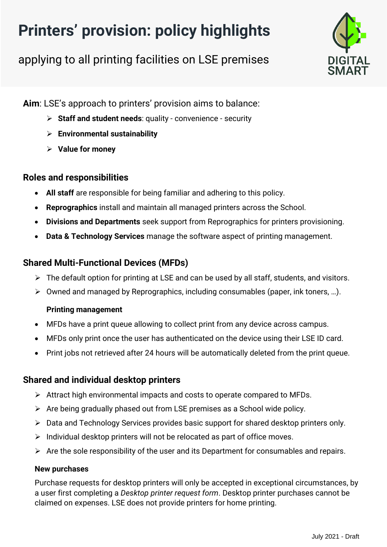# **Printers' provision: policy highlights**

applying to all printing facilities on LSE premises



**Aim**: LSE's approach to printers' provision aims to balance:

- ➢ **Staff and student needs**: quality convenience security
- ➢ **Environmental sustainability**
- ➢ **Value for money**

# **Roles and responsibilities**

- **All staff** are responsible for being familiar and adhering to this policy.
- **Reprographics** install and maintain all managed printers across the School.
- **Divisions and Departments** seek support from Reprographics for printers provisioning.
- **Data & Technology Services** manage the software aspect of printing management.

# **Shared Multi-Functional Devices (MFDs)**

- ➢ The default option for printing at LSE and can be used by all staff, students, and visitors.
- ➢ Owned and managed by Reprographics, including consumables (paper, ink toners, …).

## **Printing management**

- MFDs have a print queue allowing to collect print from any device across campus.
- MFDs only print once the user has authenticated on the device using their LSE ID card.
- Print jobs not retrieved after 24 hours will be automatically deleted from the print queue.

# **Shared and individual desktop printers**

- ➢ Attract high environmental impacts and costs to operate compared to MFDs.
- ➢ Are being gradually phased out from LSE premises as a School wide policy.
- ➢ Data and Technology Services provides basic support for shared desktop printers only.
- $\triangleright$  Individual desktop printers will not be relocated as part of office moves.
- $\triangleright$  Are the sole responsibility of the user and its Department for consumables and repairs.

## **New purchases**

Purchase requests for desktop printers will only be accepted in exceptional circumstances, by a user first completing a *Desktop printer request form*. Desktop printer purchases cannot be claimed on expenses. LSE does not provide printers for home printing.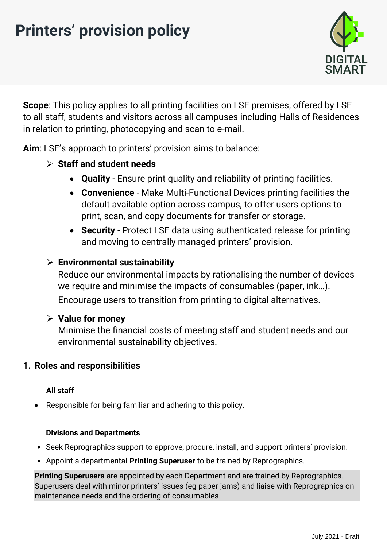# **Printers' provision policy**



**Scope**: This policy applies to all printing facilities on LSE premises, offered by LSE to all staff, students and visitors across all campuses including Halls of Residences in relation to printing, photocopying and scan to e-mail.

**Aim**: LSE's approach to printers' provision aims to balance:

# ➢ **Staff and student needs**

- **Quality** Ensure print quality and reliability of printing facilities.
- **Convenience** Make Multi-Functional Devices printing facilities the default available option across campus, to offer users options to print, scan, and copy documents for transfer or storage.
- **Security** Protect LSE data using authenticated release for printing and moving to centrally managed printers' provision.

## ➢ **Environmental sustainability**

Reduce our environmental impacts by rationalising the number of devices we require and minimise the impacts of consumables (paper, ink…). Encourage users to transition from printing to digital alternatives.

## ➢ **Value for money**

Minimise the financial costs of meeting staff and student needs and our environmental sustainability objectives.

## **1. Roles and responsibilities**

## **All staff**

• Responsible for being familiar and adhering to this policy.

#### **Divisions and Departments**

- Seek Reprographics support to approve, procure, install, and support printers' provision.
- Appoint a departmental **Printing Superuser** to be trained by Reprographics.

**Printing Superusers** are appointed by each Department and are trained by Reprographics. Superusers deal with minor printers' issues (eg paper jams) and liaise with Reprographics on maintenance needs and the ordering of consumables.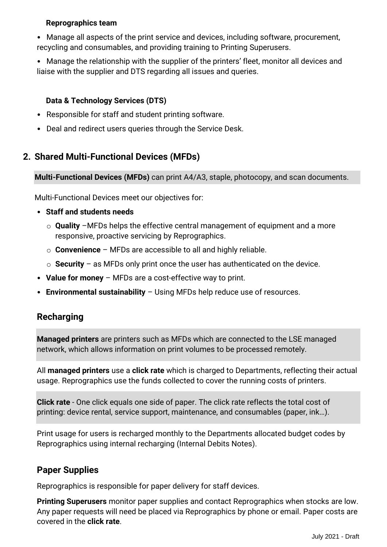#### **Reprographics team**

• Manage all aspects of the print service and devices, including software, procurement, recycling and consumables, and providing training to Printing Superusers.

• Manage the relationship with the supplier of the printers' fleet, monitor all devices and liaise with the supplier and DTS regarding all issues and queries.

#### **Data & Technology Services (DTS)**

- Responsible for staff and student printing software.
- Deal and redirect users queries through the Service Desk.

# **2. Shared Multi-Functional Devices (MFDs)**

**Multi-Functional Devices (MFDs)** can print A4/A3, staple, photocopy, and scan documents.

Multi-Functional Devices meet our objectives for:

- **Staff and students needs**
	- o **Quality** –MFDs helps the effective central management of equipment and a more responsive, proactive servicing by Reprographics.
	- o **Convenience** MFDs are accessible to all and highly reliable.
	- o **Security**  as MFDs only print once the user has authenticated on the device.
- **Value for money** MFDs are a cost-effective way to print.
- **Environmental sustainability** Using MFDs help reduce use of resources.

# **Recharging**

**Managed printers** are printers such as MFDs which are connected to the LSE managed network, which allows information on print volumes to be processed remotely.

All **managed printers** use a **click rate** which is charged to Departments, reflecting their actual usage. Reprographics use the funds collected to cover the running costs of printers.

**Click rate** - One click equals one side of paper. The click rate reflects the total cost of printing: device rental, service support, maintenance, and consumables (paper, ink…).

Print usage for users is recharged monthly to the Departments allocated budget codes by Reprographics using internal recharging (Internal Debits Notes).

# **Paper Supplies**

Reprographics is responsible for paper delivery for staff devices.

**Printing Superusers** monitor paper supplies and contact Reprographics when stocks are low. Any paper requests will need be placed via Reprographics by phone or email. Paper costs are covered in the **click rate**.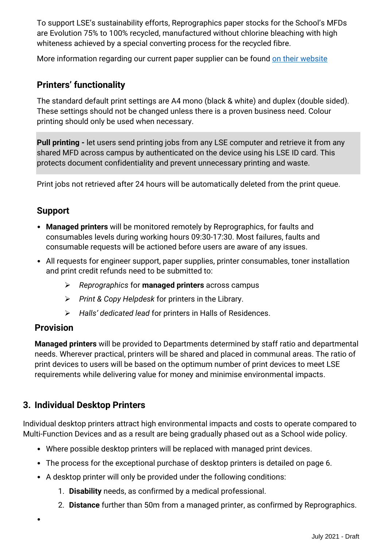To support LSE's sustainability efforts, Reprographics paper stocks for the School's MFDs are Evolution 75% to 100% recycled, manufactured without chlorine bleaching with high whiteness achieved by a special converting process for the recycled fibre.

More information regarding our current paper supplier can be found [on their website](https://www.paper.co.uk/environment/)

# **Printers' functionality**

The standard default print settings are A4 mono (black & white) and duplex (double sided). These settings should not be changed unless there is a proven business need. Colour printing should only be used when necessary.

**Pull printing -** let users send printing jobs from any LSE computer and retrieve it from any shared MFD across campus by authenticated on the device using his LSE ID card. This protects document confidentiality and prevent unnecessary printing and waste.

Print jobs not retrieved after 24 hours will be automatically deleted from the print queue.

## **Support**

- **Managed printers** will be monitored remotely by Reprographics, for faults and consumables levels during working hours 09:30-17:30. Most failures, faults and consumable requests will be actioned before users are aware of any issues.
- All requests for engineer support, paper supplies, printer consumables, toner installation and print credit refunds need to be submitted to:
	- ➢ *Reprographics* for **managed printers** across campus
	- ➢ *Print & Copy Helpdesk* for printers in the Library.
	- ➢ *Halls' dedicated lead* for printers in Halls of Residences.

## **Provision**

•

**Managed printers** will be provided to Departments determined by staff ratio and departmental needs. Wherever practical, printers will be shared and placed in communal areas. The ratio of print devices to users will be based on the optimum number of print devices to meet LSE requirements while delivering value for money and minimise environmental impacts.

# **3. Individual Desktop Printers**

Individual desktop printers attract high environmental impacts and costs to operate compared to Multi-Function Devices and as a result are being gradually phased out as a School wide policy.

- Where possible desktop printers will be replaced with managed print devices.
- The process for the exceptional purchase of desktop printers is detailed on page 6.
- A desktop printer will only be provided under the following conditions:
	- 1. **Disability** needs, as confirmed by a medical professional.
	- 2. **Distance** further than 50m from a managed printer, as confirmed by Reprographics.